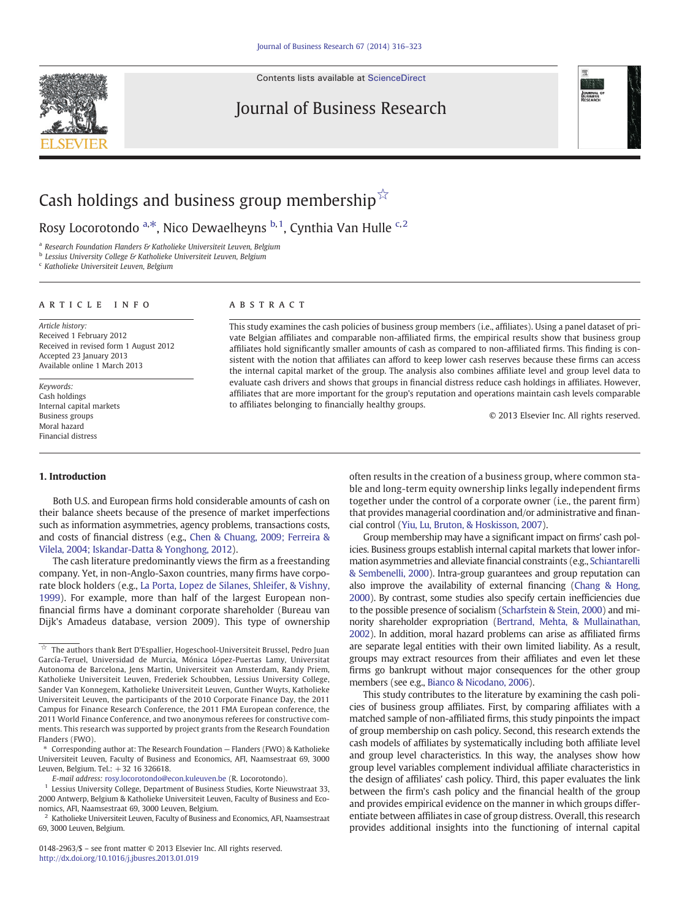Contents lists available at [ScienceDirect](http://www.sciencedirect.com/science/journal/01482963)

### Journal of Business Research



# Cash holdings and business group membership $\overline{r}$

Rosy Locorotondo <sup>a,\*</sup>, Nico Dewaelheyns <sup>b,1</sup>, Cynthia Van Hulle <sup>c,2</sup>

<sup>a</sup> Research Foundation Flanders & Katholieke Universiteit Leuven, Belgium

b Lessius University College & Katholieke Universiteit Leuven, Belgium

<sup>c</sup> Katholieke Universiteit Leuven, Belgium

### article info abstract

Article history: Received 1 February 2012 Received in revised form 1 August 2012 Accepted 23 January 2013 Available online 1 March 2013

Keywords: Cash holdings Internal capital markets Business groups Moral hazard Financial distress

This study examines the cash policies of business group members (i.e., affiliates). Using a panel dataset of private Belgian affiliates and comparable non-affiliated firms, the empirical results show that business group affiliates hold significantly smaller amounts of cash as compared to non-affiliated firms. This finding is consistent with the notion that affiliates can afford to keep lower cash reserves because these firms can access the internal capital market of the group. The analysis also combines affiliate level and group level data to evaluate cash drivers and shows that groups in financial distress reduce cash holdings in affiliates. However, affiliates that are more important for the group's reputation and operations maintain cash levels comparable to affiliates belonging to financially healthy groups.

© 2013 Elsevier Inc. All rights reserved.

#### 1. Introduction

Both U.S. and European firms hold considerable amounts of cash on their balance sheets because of the presence of market imperfections such as information asymmetries, agency problems, transactions costs, and costs of financial distress (e.g., [Chen & Chuang, 2009; Ferreira &](#page--1-0) [Vilela, 2004; Iskandar-Datta & Yonghong, 2012](#page--1-0)).

The cash literature predominantly views the firm as a freestanding company. Yet, in non-Anglo-Saxon countries, many firms have corporate block holders (e.g., [La Porta, Lopez de Silanes, Shleifer, & Vishny,](#page--1-0) [1999\)](#page--1-0). For example, more than half of the largest European nonfinancial firms have a dominant corporate shareholder (Bureau van Dijk's Amadeus database, version 2009). This type of ownership often results in the creation of a business group, where common stable and long-term equity ownership links legally independent firms together under the control of a corporate owner (i.e., the parent firm) that provides managerial coordination and/or administrative and financial control ([Yiu, Lu, Bruton, & Hoskisson, 2007](#page--1-0)).

Group membership may have a significant impact on firms' cash policies. Business groups establish internal capital markets that lower information asymmetries and alleviate financial constraints (e.g., [Schiantarelli](#page--1-0) [& Sembenelli, 2000](#page--1-0)). Intra-group guarantees and group reputation can also improve the availability of external financing [\(Chang & Hong,](#page--1-0) [2000](#page--1-0)). By contrast, some studies also specify certain inefficiencies due to the possible presence of socialism [\(Scharfstein & Stein, 2000\)](#page--1-0) and minority shareholder expropriation [\(Bertrand, Mehta, & Mullainathan,](#page--1-0) [2002](#page--1-0)). In addition, moral hazard problems can arise as affiliated firms are separate legal entities with their own limited liability. As a result, groups may extract resources from their affiliates and even let these firms go bankrupt without major consequences for the other group members (see e.g., [Bianco & Nicodano, 2006](#page--1-0)).

This study contributes to the literature by examining the cash policies of business group affiliates. First, by comparing affiliates with a matched sample of non-affiliated firms, this study pinpoints the impact of group membership on cash policy. Second, this research extends the cash models of affiliates by systematically including both affiliate level and group level characteristics. In this way, the analyses show how group level variables complement individual affiliate characteristics in the design of affiliates' cash policy. Third, this paper evaluates the link between the firm's cash policy and the financial health of the group and provides empirical evidence on the manner in which groups differentiate between affiliates in case of group distress. Overall, this research provides additional insights into the functioning of internal capital



 $\overrightarrow{x}$  The authors thank Bert D'Espallier, Hogeschool-Universiteit Brussel, Pedro Juan García-Teruel, Universidad de Murcia, Mónica López-Puertas Lamy, Universitat Autonoma de Barcelona, Jens Martin, Universiteit van Amsterdam, Randy Priem, Katholieke Universiteit Leuven, Frederiek Schoubben, Lessius University College, Sander Van Konnegem, Katholieke Universiteit Leuven, Gunther Wuyts, Katholieke Universiteit Leuven, the participants of the 2010 Corporate Finance Day, the 2011 Campus for Finance Research Conference, the 2011 FMA European conference, the 2011 World Finance Conference, and two anonymous referees for constructive comments. This research was supported by project grants from the Research Foundation Flanders (FWO).

<sup>⁎</sup> Corresponding author at: The Research Foundation — Flanders (FWO) & Katholieke Universiteit Leuven, Faculty of Business and Economics, AFI, Naamsestraat 69, 3000 Leuven, Belgium. Tel.: +32 16 326618.

E-mail address: [rosy.locorotondo@econ.kuleuven.be](mailto:rosy.locorotondo@econ.kuleuven.be) (R. Locorotondo).

<sup>&</sup>lt;sup>1</sup> Lessius University College, Department of Business Studies, Korte Nieuwstraat 33, 2000 Antwerp, Belgium & Katholieke Universiteit Leuven, Faculty of Business and Economics, AFI, Naamsestraat 69, 3000 Leuven, Belgium.

 $^2\,$  Katholieke Universiteit Leuven, Faculty of Business and Economics, AFI, Naamsestraat 69, 3000 Leuven, Belgium.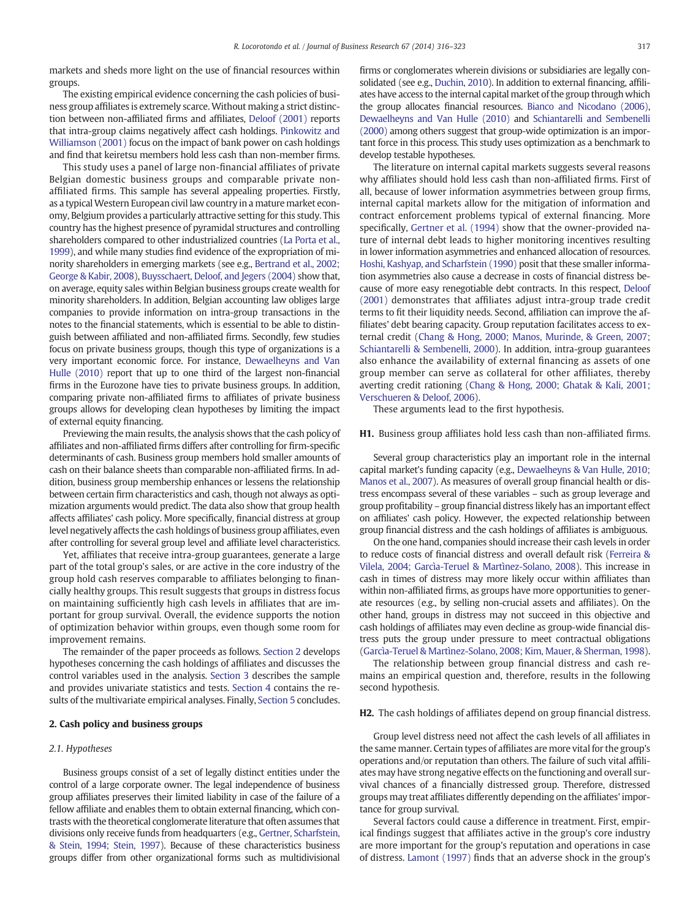markets and sheds more light on the use of financial resources within groups.

The existing empirical evidence concerning the cash policies of business group affiliates is extremely scarce. Without making a strict distinction between non-affiliated firms and affiliates, [Deloof \(2001\)](#page--1-0) reports that intra-group claims negatively affect cash holdings. [Pinkowitz and](#page--1-0) [Williamson \(2001\)](#page--1-0) focus on the impact of bank power on cash holdings and find that keiretsu members hold less cash than non-member firms.

This study uses a panel of large non-financial affiliates of private Belgian domestic business groups and comparable private nonaffiliated firms. This sample has several appealing properties. Firstly, as a typical Western European civil law country in a mature market economy, Belgium provides a particularly attractive setting for this study. This country has the highest presence of pyramidal structures and controlling shareholders compared to other industrialized countries [\(La Porta et al.,](#page--1-0) [1999](#page--1-0)), and while many studies find evidence of the expropriation of minority shareholders in emerging markets (see e.g., [Bertrand et al., 2002;](#page--1-0) [George & Kabir, 2008\)](#page--1-0), [Buysschaert, Deloof, and Jegers \(2004\)](#page--1-0) show that, on average, equity sales within Belgian business groups create wealth for minority shareholders. In addition, Belgian accounting law obliges large companies to provide information on intra-group transactions in the notes to the financial statements, which is essential to be able to distinguish between affiliated and non-affiliated firms. Secondly, few studies focus on private business groups, though this type of organizations is a very important economic force. For instance, [Dewaelheyns and Van](#page--1-0) [Hulle \(2010\)](#page--1-0) report that up to one third of the largest non-financial firms in the Eurozone have ties to private business groups. In addition, comparing private non-affiliated firms to affiliates of private business groups allows for developing clean hypotheses by limiting the impact of external equity financing.

Previewing the main results, the analysis shows that the cash policy of affiliates and non-affiliated firms differs after controlling for firm-specific determinants of cash. Business group members hold smaller amounts of cash on their balance sheets than comparable non-affiliated firms. In addition, business group membership enhances or lessens the relationship between certain firm characteristics and cash, though not always as optimization arguments would predict. The data also show that group health affects affiliates' cash policy. More specifically, financial distress at group level negatively affects the cash holdings of business group affiliates, even after controlling for several group level and affiliate level characteristics.

Yet, affiliates that receive intra-group guarantees, generate a large part of the total group's sales, or are active in the core industry of the group hold cash reserves comparable to affiliates belonging to financially healthy groups. This result suggests that groups in distress focus on maintaining sufficiently high cash levels in affiliates that are important for group survival. Overall, the evidence supports the notion of optimization behavior within groups, even though some room for improvement remains.

The remainder of the paper proceeds as follows. Section 2 develops hypotheses concerning the cash holdings of affiliates and discusses the control variables used in the analysis. [Section 3](#page--1-0) describes the sample and provides univariate statistics and tests. [Section 4](#page--1-0) contains the results of the multivariate empirical analyses. Finally, [Section 5](#page--1-0) concludes.

#### 2. Cash policy and business groups

#### 2.1. Hypotheses

Business groups consist of a set of legally distinct entities under the control of a large corporate owner. The legal independence of business group affiliates preserves their limited liability in case of the failure of a fellow affiliate and enables them to obtain external financing, which contrasts with the theoretical conglomerate literature that often assumes that divisions only receive funds from headquarters (e.g., [Gertner, Scharfstein,](#page--1-0) [& Stein, 1994; Stein, 1997](#page--1-0)). Because of these characteristics business groups differ from other organizational forms such as multidivisional firms or conglomerates wherein divisions or subsidiaries are legally consolidated (see e.g., [Duchin, 2010](#page--1-0)). In addition to external financing, affiliates have access to the internal capital market of the group through which the group allocates financial resources. [Bianco and Nicodano \(2006\),](#page--1-0) [Dewaelheyns and Van Hulle \(2010\)](#page--1-0) and [Schiantarelli and Sembenelli](#page--1-0) [\(2000\)](#page--1-0) among others suggest that group-wide optimization is an important force in this process. This study uses optimization as a benchmark to develop testable hypotheses.

The literature on internal capital markets suggests several reasons why affiliates should hold less cash than non-affiliated firms. First of all, because of lower information asymmetries between group firms, internal capital markets allow for the mitigation of information and contract enforcement problems typical of external financing. More specifically, [Gertner et al. \(1994\)](#page--1-0) show that the owner-provided nature of internal debt leads to higher monitoring incentives resulting in lower information asymmetries and enhanced allocation of resources. [Hoshi, Kashyap, and Scharfstein \(1990\)](#page--1-0) posit that these smaller information asymmetries also cause a decrease in costs of financial distress because of more easy renegotiable debt contracts. In this respect, [Deloof](#page--1-0) [\(2001\)](#page--1-0) demonstrates that affiliates adjust intra-group trade credit terms to fit their liquidity needs. Second, affiliation can improve the affiliates' debt bearing capacity. Group reputation facilitates access to external credit [\(Chang & Hong, 2000; Manos, Murinde, & Green, 2007;](#page--1-0) [Schiantarelli & Sembenelli, 2000](#page--1-0)). In addition, intra-group guarantees also enhance the availability of external financing as assets of one group member can serve as collateral for other affiliates, thereby averting credit rationing [\(Chang & Hong, 2000; Ghatak & Kali, 2001;](#page--1-0) [Verschueren & Deloof, 2006\)](#page--1-0).

These arguments lead to the first hypothesis.

#### H1. Business group affiliates hold less cash than non-affiliated firms.

Several group characteristics play an important role in the internal capital market's funding capacity (e.g., [Dewaelheyns & Van Hulle, 2010;](#page--1-0) [Manos et al., 2007\)](#page--1-0). As measures of overall group financial health or distress encompass several of these variables – such as group leverage and group profitability – group financial distress likely has an important effect on affiliates' cash policy. However, the expected relationship between group financial distress and the cash holdings of affiliates is ambiguous.

On the one hand, companies should increase their cash levels in order to reduce costs of financial distress and overall default risk [\(Ferreira &](#page--1-0) [Vilela, 2004; Garcìa-Teruel & Martìnez-Solano, 2008](#page--1-0)). This increase in cash in times of distress may more likely occur within affiliates than within non-affiliated firms, as groups have more opportunities to generate resources (e.g., by selling non-crucial assets and affiliates). On the other hand, groups in distress may not succeed in this objective and cash holdings of affiliates may even decline as group-wide financial distress puts the group under pressure to meet contractual obligations [\(Garcìa-Teruel & Martìnez-Solano, 2008; Kim, Mauer, & Sherman, 1998](#page--1-0)).

The relationship between group financial distress and cash remains an empirical question and, therefore, results in the following second hypothesis.

#### H2. The cash holdings of affiliates depend on group financial distress.

Group level distress need not affect the cash levels of all affiliates in the same manner. Certain types of affiliates are more vital for the group's operations and/or reputation than others. The failure of such vital affiliates may have strong negative effects on the functioning and overall survival chances of a financially distressed group. Therefore, distressed groups may treat affiliates differently depending on the affiliates' importance for group survival.

Several factors could cause a difference in treatment. First, empirical findings suggest that affiliates active in the group's core industry are more important for the group's reputation and operations in case of distress. [Lamont \(1997\)](#page--1-0) finds that an adverse shock in the group's